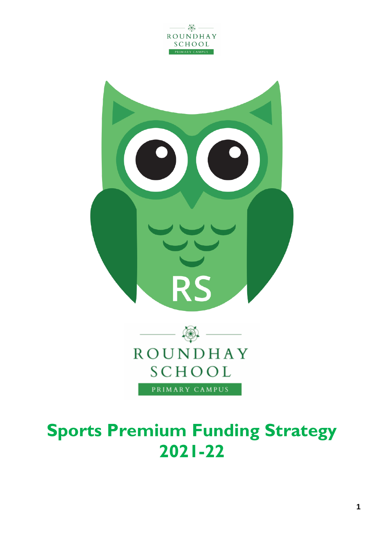





# **Sports Premium Funding Strategy 2021-22**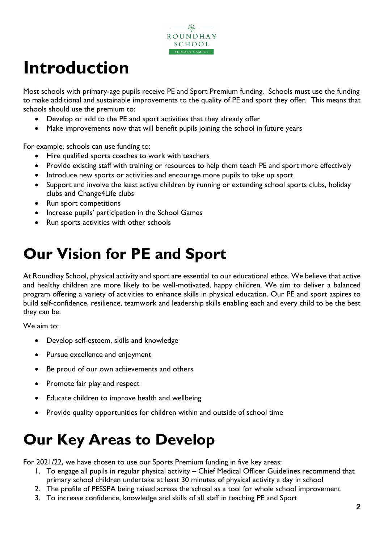

# **Introduction**

Most schools with primary-age pupils receive PE and Sport Premium funding. Schools must use the funding to make additional and sustainable improvements to the quality of PE and sport they offer. This means that schools should use the premium to:

- Develop or add to the PE and sport activities that they already offer
- Make improvements now that will benefit pupils joining the school in future years

For example, schools can use funding to:

- Hire qualified sports coaches to work with teachers
- Provide existing staff with training or resources to help them teach PE and sport more effectively
- Introduce new sports or activities and encourage more pupils to take up sport
- Support and involve the least active children by running or extending school sports clubs, holiday clubs and Change4Life clubs
- Run sport competitions
- Increase pupils' participation in the School Games
- Run sports activities with other schools

# **Our Vision for PE and Sport**

At Roundhay School, physical activity and sport are essential to our educational ethos. We believe that active and healthy children are more likely to be well-motivated, happy children. We aim to deliver a balanced program offering a variety of activities to enhance skills in physical education. Our PE and sport aspires to build self-confidence, resilience, teamwork and leadership skills enabling each and every child to be the best they can be.

We aim to:

- Develop self-esteem, skills and knowledge
- Pursue excellence and enjoyment
- Be proud of our own achievements and others
- Promote fair play and respect
- Educate children to improve health and wellbeing
- Provide quality opportunities for children within and outside of school time

# **Our Key Areas to Develop**

For 2021/22, we have chosen to use our Sports Premium funding in five key areas:

- 1. To engage all pupils in regular physical activity Chief Medical Officer Guidelines recommend that primary school children undertake at least 30 minutes of physical activity a day in school
- 2. The profile of PESSPA being raised across the school as a tool for whole school improvement
- 3. To increase confidence, knowledge and skills of all staff in teaching PE and Sport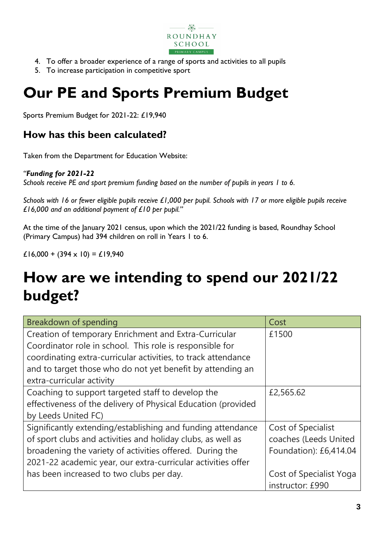

- 4. To offer a broader experience of a range of sports and activities to all pupils
- 5. To increase participation in competitive sport

# **Our PE and Sports Premium Budget**

Sports Premium Budget for 2021-22: £19,940

### **How has this been calculated?**

Taken from the Department for Education Website:

#### *"Funding for 2021-22*

*Schools receive PE and sport premium funding based on the number of pupils in years 1 to 6.*

*Schools with 16 or fewer eligible pupils receive £1,000 per pupil. Schools with 17 or more eligible pupils receive £16,000 and an additional payment of £10 per pupil."*

At the time of the January 2021 census, upon which the 2021/22 funding is based, Roundhay School (Primary Campus) had 394 children on roll in Years 1 to 6.

£16,000 + (394  $\times$  10) = £19,940

# **How are we intending to spend our 2021/22 budget?**

| Breakdown of spending                                         | Cost                    |
|---------------------------------------------------------------|-------------------------|
| Creation of temporary Enrichment and Extra-Curricular         | £1500                   |
| Coordinator role in school. This role is responsible for      |                         |
| coordinating extra-curricular activities, to track attendance |                         |
| and to target those who do not yet benefit by attending an    |                         |
| extra-curricular activity                                     |                         |
| Coaching to support targeted staff to develop the             | £2,565.62               |
| effectiveness of the delivery of Physical Education (provided |                         |
| by Leeds United FC)                                           |                         |
| Significantly extending/establishing and funding attendance   | Cost of Specialist      |
| of sport clubs and activities and holiday clubs, as well as   | coaches (Leeds United   |
| broadening the variety of activities offered. During the      | Foundation): £6,414.04  |
| 2021-22 academic year, our extra-curricular activities offer  |                         |
| has been increased to two clubs per day.                      | Cost of Specialist Yoga |
|                                                               | instructor: £990        |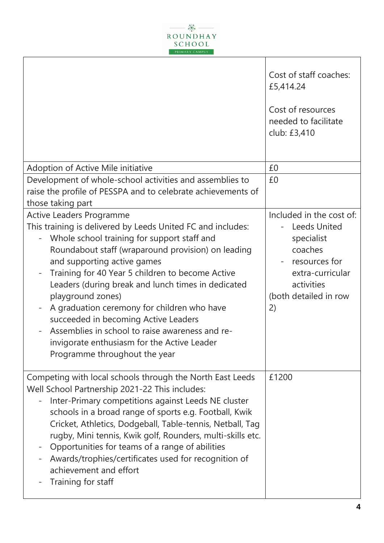

T

|                                                                                                                                                                                                                                                                                                                                                                                                                                                                                                                                                                                             | Cost of staff coaches:<br>£5,414.24<br>Cost of resources<br>needed to facilitate<br>club: £3,410                                                           |
|---------------------------------------------------------------------------------------------------------------------------------------------------------------------------------------------------------------------------------------------------------------------------------------------------------------------------------------------------------------------------------------------------------------------------------------------------------------------------------------------------------------------------------------------------------------------------------------------|------------------------------------------------------------------------------------------------------------------------------------------------------------|
| Adoption of Active Mile initiative                                                                                                                                                                                                                                                                                                                                                                                                                                                                                                                                                          | £0                                                                                                                                                         |
| Development of whole-school activities and assemblies to<br>raise the profile of PESSPA and to celebrate achievements of<br>those taking part                                                                                                                                                                                                                                                                                                                                                                                                                                               | £0                                                                                                                                                         |
| <b>Active Leaders Programme</b><br>This training is delivered by Leeds United FC and includes:<br>Whole school training for support staff and<br>Roundabout staff (wraparound provision) on leading<br>and supporting active games<br>Training for 40 Year 5 children to become Active<br>Leaders (during break and lunch times in dedicated<br>playground zones)<br>A graduation ceremony for children who have<br>succeeded in becoming Active Leaders<br>Assemblies in school to raise awareness and re-<br>invigorate enthusiasm for the Active Leader<br>Programme throughout the year | Included in the cost of:<br><b>Leeds United</b><br>specialist<br>coaches<br>resources for<br>extra-curricular<br>activities<br>(both detailed in row<br>2) |
| Competing with local schools through the North East Leeds<br>Well School Partnership 2021-22 This includes:<br>Inter-Primary competitions against Leeds NE cluster<br>schools in a broad range of sports e.g. Football, Kwik<br>Cricket, Athletics, Dodgeball, Table-tennis, Netball, Tag<br>rugby, Mini tennis, Kwik golf, Rounders, multi-skills etc.<br>Opportunities for teams of a range of abilities<br>Awards/trophies/certificates used for recognition of<br>achievement and effort<br>Training for staff                                                                          | £1200                                                                                                                                                      |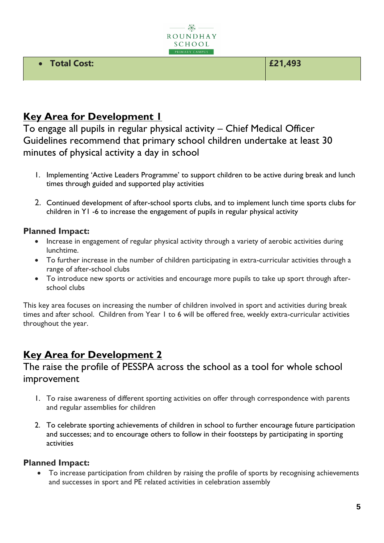

#### • **Total Cost: £21,493**

### **Key Area for Development I**

To engage all pupils in regular physical activity – Chief Medical Officer Guidelines recommend that primary school children undertake at least 30 minutes of physical activity a day in school

- 1. Implementing 'Active Leaders Programme' to support children to be active during break and lunch times through guided and supported play activities
- 2. Continued development of after-school sports clubs, and to implement lunch time sports clubs for children in Y1 -6 to increase the engagement of pupils in regular physical activity

#### **Planned Impact:**

- Increase in engagement of regular physical activity through a variety of aerobic activities during lunchtime.
- To further increase in the number of children participating in extra-curricular activities through a range of after-school clubs
- To introduce new sports or activities and encourage more pupils to take up sport through afterschool clubs

This key area focuses on increasing the number of children involved in sport and activities during break times and after school. Children from Year 1 to 6 will be offered free, weekly extra-curricular activities throughout the year.

### **Key Area for Development 2**

### The raise the profile of PESSPA across the school as a tool for whole school improvement

- 1. To raise awareness of different sporting activities on offer through correspondence with parents and regular assemblies for children
- 2. To celebrate sporting achievements of children in school to further encourage future participation and successes; and to encourage others to follow in their footsteps by participating in sporting activities

#### **Planned Impact:**

• To increase participation from children by raising the profile of sports by recognising achievements and successes in sport and PE related activities in celebration assembly